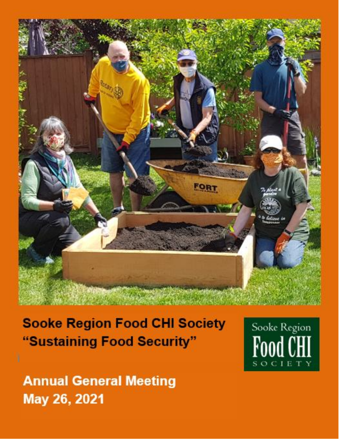

**Sooke Region Food CHI Society** "Sustaining Food Security"



**Annual General Meeting** May 26, 2021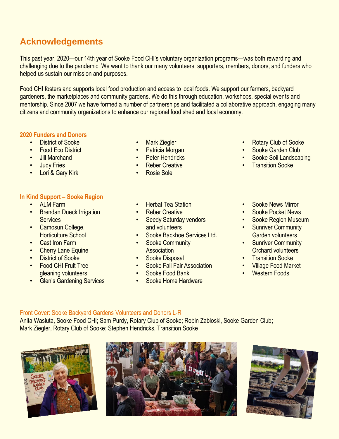# **Acknowledgements**

This past year, 2020—our 14th year of Sooke Food CHI's voluntary organization programs—was both rewarding and challenging due to the pandemic. We want to thank our many volunteers, supporters, members, donors, and funders who helped us sustain our mission and purposes.

Food CHI fosters and supports local food production and access to local foods. We support our farmers, backyard gardeners, the marketplaces and community gardens. We do this through education, workshops, special events and mentorship. Since 2007 we have formed a number of partnerships and facilitated a collaborative approach, engaging many citizens and community organizations to enhance our regional food shed and local economy.

### **2020 Funders and Donors**

- District of Sooke
- **Food Eco District**
- Jill Marchand
- **Judy Fries**
- Lori & Gary Kirk

## **In Kind Support – Sooke Region**

- ALM Farm
- Brendan Dueck Irrigation **Services**
- Camosun College, Horticulture School
- Cast Iron Farm
- **Cherry Lane Equine**
- **District of Sooke**
- Food CHI Fruit Tree gleaning volunteers
- Glen's Gardening Services
- **Mark Ziegler**
- Patricia Morgan
- Peter Hendricks
- **Reber Creative**
- Rosie Sole
- **Transition Sooke**
- **Herbal Tea Station**
- Reber Creative
- **Seedy Saturday vendors** and volunteers
- Sooke Backhoe Services Ltd.
- Sooke Community **Association**
- Sooke Disposal
- Sooke Fall Fair Association
- Sooke Food Bank
- Sooke Home Hardware
- Sooke News Mirror
- Sooke Pocket News
- Sooke Region Museum

• Rotary Club of Sooke Sooke Garden Club • Sooke Soil Landscaping

- Sunriver Community Garden volunteers
- Sunriver Community Orchard volunteers
- Transition Sooke<br>• Village Food Mark
- Village Food Market
- **Western Foods**

## Front Cover: Sooke Backyard Gardens Volunteers and Donors L-R

Anita Wasiuta, Sooke Food CHI; Sam Purdy, Rotary Club of Sooke; Robin Zabloski, Sooke Garden Club; Mark Ziegler, Rotary Club of Sooke; Stephen Hendricks, Transition Sooke





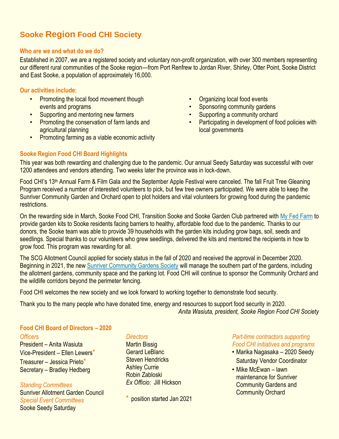# **Sooke Region Food CHI Society**

#### **Who are we and what do we do?**

Established in 2007, we are a registered society and voluntary non-profit organization, with over 300 members representing our different rural communities of the Sooke region—from Port Renfrew to Jordan River, Shirley, Otter Point, Sooke District and East Sooke, a population of approximately 16,000.

### **Our activities include:**

- Promoting the local food movement though events and programs
- Supporting and mentoring new farmers
- Promoting the conservation of farm lands and agricultural planning
- Promoting farming as a viable economic activity
- Organizing local food events
- Sponsoring community gardens
- Supporting a community orchard
- Participating in development of food policies with local governments

## **Sooke Region Food CHI Board Highlights**

This year was both rewarding and challenging due to the pandemic. Our annual Seedy Saturday was successful with over 1200 attendees and vendors attending. Two weeks later the province was in lock-down.

Food CHI's 13<sup>th</sup> Annual Farm & Film Gala and the September Apple Festival were canceled. The fall Fruit Tree Gleaning Program received a number of interested volunteers to pick, but few tree owners participated. We were able to keep the Sunriver Community Garden and Orchard open to plot holders and vital volunteers for growing food during the pandemic restrictions.

On the rewarding side in March, Sooke Food CHI, Transition Sooke and Sooke Garden Club partnered with [My Fed Farm](https://www.get-fed.ca/myfedfarm) to provide garden kits to Sooke residents facing barriers to healthy, affordable food due to the pandemic. Thanks to our donors, the Sooke team was able to provide 39 households with the garden kits including grow bags, soil, seeds and seedlings. Special thanks to our volunteers who grew seedlings, delivered the kits and mentored the recipients in how to grow food. This program was rewarding for all.

The SCG Allotment Council applied for society status in the fall of 2020 and received the approval in December 2020. Beginning in 2021, the new [Sunriver Community Gardens Society](http://www.sunrivercommunitygardens.ca/) will manage the southern part of the gardens, including the allotment gardens, community space and the parking lot. Food CHI will continue to sponsor the Community Orchard and the wildlife corridors beyond the perimeter fencing.

Food CHI welcomes the new society and we look forward to working together to demonstrate food security.

Thank you to the many people who have donated time, energy and resources to support food security in 2020. *Anita Wasiuta, president, Sooke Region Food CHI Society*

## **Food CHI Board of Directors – 2020**

*Officers*

President – Anita Wasiuta Vice-President – Ellen Lewers\* Treasurer – Jessica Prieto\* Secretary – Bradley Hedberg

*Standing Committees* Sunriver Allotment Garden Council *Special Event Committees* Sooke Seedy Saturday

### *Directors*

Martin Bissig Gerard LeBlanc Steven Hendricks Ashley Currie Robin Zabloski *Ex Officio:* Jill Hickson

position started Jan 2021

### *Part-time contractors supporting Food CHI initiatives and programs*

- Marika Nagasaka 2020 Seedy Saturday Vendor Coordinator
- Mike McEwan lawn maintenance for Sunriver **Community Gardens and** Community Orchard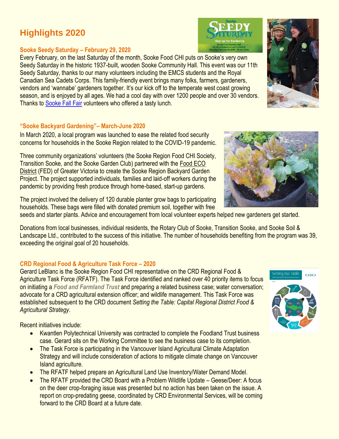# **Highlights 2020**

### **Sooke Seedy Saturday – February 29, 2020**

Every February, on the last Saturday of the month, Sooke Food CHI puts on Sooke's very own Seedy Saturday in the historic 1937-built, wooden Sooke Community Hall. This event was our 11th Seedy Saturday, thanks to our many volunteers including the EMCS students and the Royal Canadian Sea Cadets Corps. This family-friendly event brings many folks, farmers, gardeners, vendors and 'wannabe' gardeners together. It's our kick off to the temperate west coast growing season, and is enjoyed by all ages. We had a cool day with over 1200 people and over 30 vendors. Thanks to [Sooke Fall Fair](http://sookefallfair.ca/wp/) volunteers who offered a tasty lunch.

## **"Sooke Backyard Gardening"– March-June 2020**

In March 2020, a local program was launched to ease the related food security concerns for households in the Sooke Region related to the COVID-19 pandemic.

Three community organizations' volunteers (the Sooke Region Food CHI Society, Transition Sooke, and the Sooke Garden Club) partnered with the [Food ECO](https://www.get-fed.ca/myfedfarm)  [District](https://www.get-fed.ca/myfedfarm) (FED) of Greater Victoria to create the Sooke Region Backyard Garden Project. The project supported individuals, families and laid-off workers during the pandemic by providing fresh produce through home-based, start-up gardens.

The project involved the delivery of 120 durable planter grow bags to participating households. These bags were filled with donated premium soil, together with free

seeds and starter plants. Advice and encouragement from local volunteer experts helped new gardeners get started.

Donations from local businesses, individual residents, the Rotary Club of Sooke, Transition Sooke, and Sooke Soil & Landscape Ltd., contributed to the success of this initiative. The number of households benefiting from the program was 39, exceeding the original goal of 20 households.

## **CRD Regional Food & Agriculture Task Force – 2020**

Gerard LeBlanc is the Sooke Region Food CHI representative on the CRD Regional Food & Agriculture Task Force (RFATF). The Task Force identified and ranked over 40 priority items to focus on initiating a *Food and Farmland Trust* and preparing a related business case; water conversation; advocate for a CRD agricultural extension officer; and wildlife management. This Task Force was established subsequent to the CRD document *Setting the Table: Capital Regional District Food & Agricultural Strategy*.

Recent initiatives include:

- Kwantlen Polytechnical University was contracted to complete the Foodland Trust business case. Gerard sits on the Working Committee to see the business case to its completion.
- The Task Force is participating in the Vancouver Island Agricultural Climate Adaptation Strategy and will include consideration of actions to mitigate climate change on Vancouver Island agriculture.
- The RFATF helped prepare an Agricultural Land Use Inventory/Water Demand Model.
- The RFATF provided the CRD Board with a Problem Wildlife Update Geese/Deer: A focus on the deer crop-foraging issue was presented but no action has been taken on the issue. A report on crop-predating geese, coordinated by CRD Environmental Services, will be coming forward to the CRD Board at a future date.







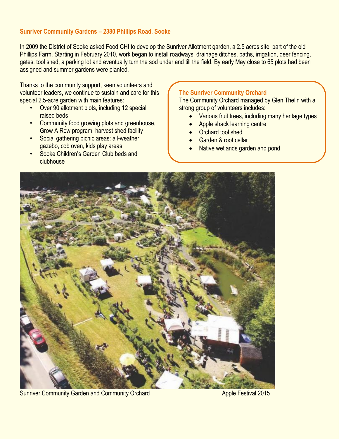### **Sunriver Community Gardens – 2380 Phillips Road, Sooke**

In 2009 the District of Sooke asked Food CHI to develop the Sunriver Allotment garden, a 2.5 acres site, part of the old Phillips Farm. Starting in February 2010, work began to install roadways, drainage ditches, paths, irrigation, deer fencing, gates, tool shed, a parking lot and eventually turn the sod under and till the field. By early May close to 65 plots had been assigned and summer gardens were planted.

Thanks to the community support, keen volunteers and volunteer leaders, we continue to sustain and care for this special 2.5-acre garden with main features:

- Over 90 allotment plots, including 12 special raised beds
- **Community food growing plots and greenhouse,** Grow A Row program, harvest shed facility
- Social gathering picnic areas: all-weather gazebo, cob oven, kids play areas
- Sooke Children's Garden Club beds and clubhouse

#### **The Sunriver Community Orchard**

The Community Orchard managed by Glen Thelin with a strong group of volunteers includes:

- Various fruit trees, including many heritage types
- Apple shack learning centre
- Orchard tool shed
- Garden & root cellar
- Native wetlands garden and pond



Sunriver Community Garden and Community Orchard Apple Festival 2015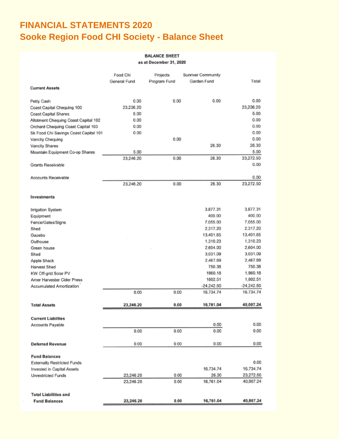# **FINANCIAL STATEMENTS 2020 Sooke Region Food CHI Society - Balance Sheet**

#### **BALANCE SHEET**

as at December 31, 2020

|                                       | Food Chi     | Projects     | Sunriver Community |                   |
|---------------------------------------|--------------|--------------|--------------------|-------------------|
|                                       | General Fund | Program Fund | Garden Fund        | Total             |
| <b>Current Assets</b>                 |              |              |                    |                   |
| Petty Cash                            | 0.00         | 0.00         | 0.00               | 0.00              |
| Coast Capital Chequing 100            | 23,236.20    |              |                    | 23,236.20         |
| <b>Coast Capital Shares</b>           | 5.00         |              |                    | 5.00              |
| Allotment Chequing Coast Capital 102  | 0.00         |              |                    | 0.00              |
| Orchard Chequing Coast Capital 103    | 0.00         |              |                    | 0.00              |
| Sk Food Chi Savings Coast Capital 101 | 0.00         |              |                    | 0.00              |
| Vancity Chequing                      |              | 0.00         |                    | 0.00              |
| Vancity Shares                        |              |              | 26.30              | 26.30             |
| Mountain Equipment Co-op Shares       | 5.00         |              |                    | 5.00              |
|                                       | 23,246.20    | 0.00         | 26.30              | 23,272.50         |
| Grants Receivable                     |              |              |                    | 0.00              |
|                                       |              |              |                    |                   |
| Accounts Receivable                   |              | 0.00         | 26.30              | 0.00<br>23,272.50 |
|                                       | 23,246.20    |              |                    |                   |
| Investments                           |              |              |                    |                   |
| Irrigation System                     |              |              | 3,877.31           | 3,877.31          |
| Equipment                             |              |              | 400.00             | 400.00            |
| Fence/Gates/Signs                     |              |              | 7,055.00           | 7,055.00          |
| Shed                                  |              |              | 2,317.20           | 2,317.20          |
| Gazebo                                |              |              | 13,401.65          | 13,401.65         |
| Outhouse                              |              |              | 1,310.23           | 1,310.23          |
| Green house                           |              |              | 2,604.00           | 2,604.00          |
| Shed                                  |              |              | 3,031.09           | 3,031.09          |
| Apple Shack                           |              |              | 2,467.69           | 2,467.69          |
| <b>Harvest Shed</b>                   |              |              | 750.38             | 750.38            |
| KW Off-grid Solar PV                  |              |              | 1960.18            | 1,960.18          |
| Amer Harvester Cider Press            |              |              | 1802.51            | 1,802.51          |
| Accumulated Amortization              |              |              | $-24,242.50$       | $-24,242.50$      |
|                                       | 0.00         | 0.00         | 16,734.74          | 16,734.74         |
| <b>Total Assets</b>                   | 23,246.20    | 0.00         | 16,761.04          | 40,007.24         |
| <b>Current Liabilties</b>             |              |              |                    |                   |
| Accounts Payable                      |              |              | 0.00               | 0.00              |
|                                       | 0.00         | 0.00         | 0.00               | 0.00              |
| <b>Deferred Revenue</b>               | 0.00         | 0.00         | 0.00               | 0.00              |
| <b>Fund Balances</b>                  |              |              |                    |                   |
| <b>Externally Restricted Funds</b>    |              |              |                    | 0.00              |
| Invested in Capital Assets            |              |              | 16,734.74          | 16,734.74         |
| Unrestricted Funds                    | 23,246.20    | 0.00         | 26.30              | 23,272.50         |
|                                       | 23,246.20    | 0.00         | 16,761.04          | 40,007.24         |
|                                       |              |              |                    |                   |
| <b>Total Liabilities and</b>          |              |              |                    |                   |
| <b>Fund Balances</b>                  | 23,246.20    | 0.00         | 16,761.04          | 40,007.24         |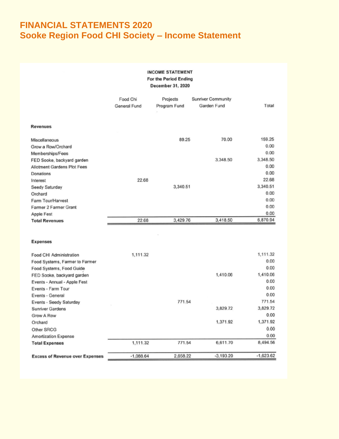# **FINANCIAL STATEMENTS 2020** Sooke Region Food CHI Society - Income Statement

#### **INCOME STATEMENT** For the Period Ending December 31, 2020

|                                        | Food Chi     | Projects     | Sunriver Community |             |
|----------------------------------------|--------------|--------------|--------------------|-------------|
|                                        | General Fund | Program Fund | Garden Fund        | Total       |
|                                        |              |              |                    |             |
| <b>Revenues</b>                        |              |              |                    |             |
| Miscellaneous                          |              | 89.25        | 70.00              | 159.25      |
| Grow a Row/Orchard                     |              |              |                    | 0.00        |
| Memberships/Fees                       |              |              |                    | 0.00        |
| FED Sooke, backyard garden             |              |              | 3,348.50           | 3,348.50    |
| Allotment Gardens Plot Fees            |              |              |                    | 0.00        |
| Donations                              |              |              |                    | 0.00        |
| Interest                               | 22.68        |              |                    | 22.68       |
| Seedy Saturday                         |              | 3,340.51     |                    | 3,340.51    |
| Orchard                                |              |              |                    | 0.00        |
| Farm Tour/Harvest                      |              |              |                    | 0.00        |
| Farmer 2 Farmer Grant                  |              |              |                    | 0.00        |
| Apple Fest                             |              |              |                    | 0.00        |
| <b>Total Revenues</b>                  | 22.68        | 3,429.76     | 3,418.50           | 6,870.94    |
|                                        |              |              |                    |             |
|                                        |              |              |                    |             |
| Expenses                               |              |              |                    |             |
| Food CHI Administration                | 1,111.32     |              |                    | 1,111.32    |
| Food Systems, Farmer to Farmer         |              |              |                    | 0.00        |
| Food Systems, Food Guide               |              |              |                    | 0.00        |
| FED Sooke, backyard garden             |              |              | 1,410.06           | 1,410.06    |
| Events - Annual - Apple Fest           |              |              |                    | 0.00        |
| Events - Farm Tour                     |              |              |                    | 0.00        |
| Events - General                       |              |              |                    | 0.00        |
| Events - Seedy Saturday                |              | 771.54       |                    | 771.54      |
| Sunriver Gardens                       |              |              | 3,829.72           | 3,829.72    |
| Grow A Row                             |              |              |                    | 0.00        |
| Orchard                                |              |              | 1,371.92           | 1,371.92    |
| Other SRCG                             |              |              |                    | 0.00        |
| Amortization Expense                   |              |              |                    | 0.00        |
| <b>Total Expenses</b>                  | 1,111.32     | 771.54       | 6,611.70           | 8,494.56    |
| <b>Excess of Revenue over Expenses</b> | $-1.088.64$  | 2,658.22     | $-3,193.20$        | $-1,623.62$ |